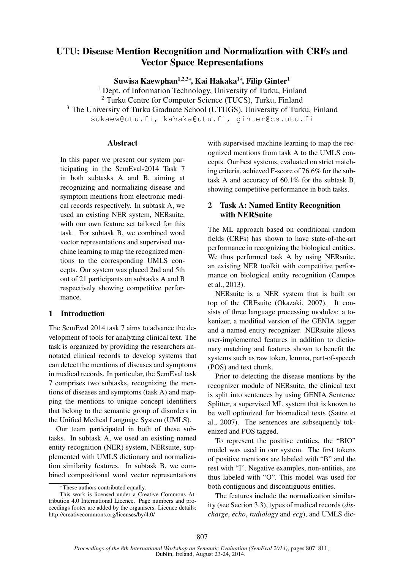# UTU: Disease Mention Recognition and Normalization with CRFs and Vector Space Representations

Suwisa Kaewphan<sup>1,2,3</sup>\*, Kai Hakaka<sup>1</sup>\*, Filip Ginter<sup>1</sup>

<sup>1</sup> Dept. of Information Technology, University of Turku, Finland <sup>2</sup> Turku Centre for Computer Science (TUCS), Turku, Finland <sup>3</sup> The University of Turku Graduate School (UTUGS), University of Turku, Finland sukaew@utu.fi, kahaka@utu.fi, ginter@cs.utu.fi

### **Abstract**

In this paper we present our system participating in the SemEval-2014 Task 7 in both subtasks A and B, aiming at recognizing and normalizing disease and symptom mentions from electronic medical records respectively. In subtask A, we used an existing NER system, NERsuite, with our own feature set tailored for this task. For subtask B, we combined word vector representations and supervised machine learning to map the recognized mentions to the corresponding UMLS concepts. Our system was placed 2nd and 5th out of 21 participants on subtasks A and B respectively showing competitive performance.

## 1 Introduction

The SemEval 2014 task 7 aims to advance the development of tools for analyzing clinical text. The task is organized by providing the researchers annotated clinical records to develop systems that can detect the mentions of diseases and symptoms in medical records. In particular, the SemEval task 7 comprises two subtasks, recognizing the mentions of diseases and symptoms (task A) and mapping the mentions to unique concept identifiers that belong to the semantic group of disorders in the Unified Medical Language System (UMLS).

Our team participated in both of these subtasks. In subtask A, we used an existing named entity recognition (NER) system, NERsuite, supplemented with UMLS dictionary and normalization similarity features. In subtask B, we combined compositional word vector representations

with supervised machine learning to map the recognized mentions from task A to the UMLS concepts. Our best systems, evaluated on strict matching criteria, achieved F-score of 76.6% for the subtask A and accuracy of 60.1% for the subtask B, showing competitive performance in both tasks.

# 2 Task A: Named Entity Recognition with NERSuite

The ML approach based on conditional random fields (CRFs) has shown to have state-of-the-art performance in recognizing the biological entities. We thus performed task A by using NERsuite, an existing NER toolkit with competitive performance on biological entity recognition (Campos et al., 2013).

NERsuite is a NER system that is built on top of the CRFsuite (Okazaki, 2007). It consists of three language processing modules: a tokenizer, a modified version of the GENIA tagger and a named entity recognizer. NERsuite allows user-implemented features in addition to dictionary matching and features shown to benefit the systems such as raw token, lemma, part-of-speech (POS) and text chunk.

Prior to detecting the disease mentions by the recognizer module of NERsuite, the clinical text is split into sentences by using GENIA Sentence Splitter, a supervised ML system that is known to be well optimized for biomedical texts (Sætre et al., 2007). The sentences are subsequently tokenized and POS tagged.

To represent the positive entities, the "BIO" model was used in our system. The first tokens of positive mentions are labeled with "B" and the rest with "I". Negative examples, non-entities, are thus labeled with "O". This model was used for both contiguous and discontiguous entities.

The features include the normalization similarity (see Section 3.3), types of medical records (*discharge*, *echo*, *radiology* and *ecg*), and UMLS dic-

<sup>∗</sup>These authors contributed equally.

This work is licensed under a Creative Commons Attribution 4.0 International Licence. Page numbers and proceedings footer are added by the organisers. Licence details: http://creativecommons.org/licenses/by/4.0/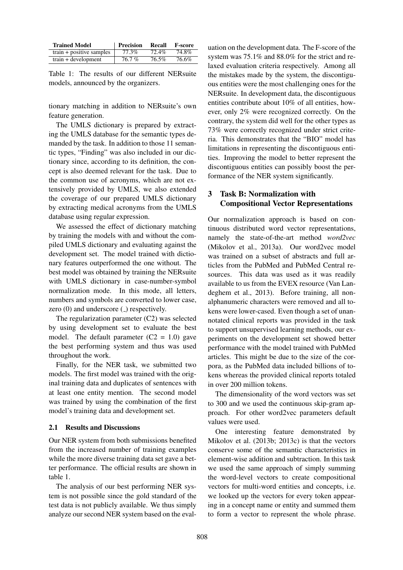| <b>Trained Model</b>       | <b>Precision</b> | Recall | <b>F-score</b> |
|----------------------------|------------------|--------|----------------|
| $train + positive samples$ | 77.3%            | 72.4%  | 74.8%          |
| $train + development$      | $76.7\%$         | 76.5%  | 76.6%          |

Table 1: The results of our different NERsuite models, announced by the organizers.

tionary matching in addition to NERsuite's own feature generation.

The UMLS dictionary is prepared by extracting the UMLS database for the semantic types demanded by the task. In addition to those 11 semantic types, "Finding" was also included in our dictionary since, according to its definition, the concept is also deemed relevant for the task. Due to the common use of acronyms, which are not extensively provided by UMLS, we also extended the coverage of our prepared UMLS dictionary by extracting medical acronyms from the UMLS database using regular expression.

We assessed the effect of dictionary matching by training the models with and without the compiled UMLS dictionary and evaluating against the development set. The model trained with dictionary features outperformed the one without. The best model was obtained by training the NERsuite with UMLS dictionary in case-number-symbol normalization mode. In this mode, all letters, numbers and symbols are converted to lower case, zero  $(0)$  and underscore  $($ ) respectively.

The regularization parameter (C2) was selected by using development set to evaluate the best model. The default parameter  $(C2 = 1.0)$  gave the best performing system and thus was used throughout the work.

Finally, for the NER task, we submitted two models. The first model was trained with the original training data and duplicates of sentences with at least one entity mention. The second model was trained by using the combination of the first model's training data and development set.

#### 2.1 Results and Discussions

Our NER system from both submissions benefited from the increased number of training examples while the more diverse training data set gave a better performance. The official results are shown in table 1.

The analysis of our best performing NER system is not possible since the gold standard of the test data is not publicly available. We thus simply analyze our second NER system based on the eval-

uation on the development data. The F-score of the system was 75.1% and 88.0% for the strict and relaxed evaluation criteria respectively. Among all the mistakes made by the system, the discontiguous entities were the most challenging ones for the NERsuite. In development data, the discontiguous entities contribute about 10% of all entities, however, only 2% were recognized correctly. On the contrary, the system did well for the other types as 73% were correctly recognized under strict criteria. This demonstrates that the "BIO" model has limitations in representing the discontiguous entities. Improving the model to better represent the discontiguous entities can possibly boost the performance of the NER system significantly.

# 3 Task B: Normalization with Compositional Vector Representations

Our normalization approach is based on continuous distributed word vector representations, namely the state-of-the-art method *word2vec* (Mikolov et al., 2013a). Our word2vec model was trained on a subset of abstracts and full articles from the PubMed and PubMed Central resources. This data was used as it was readily available to us from the EVEX resource (Van Landeghem et al., 2013). Before training, all nonalphanumeric characters were removed and all tokens were lower-cased. Even though a set of unannotated clinical reports was provided in the task to support unsupervised learning methods, our experiments on the development set showed better performance with the model trained with PubMed articles. This might be due to the size of the corpora, as the PubMed data included billions of tokens whereas the provided clinical reports totaled in over 200 million tokens.

The dimensionality of the word vectors was set to 300 and we used the continuous skip-gram approach. For other word2vec parameters default values were used.

One interesting feature demonstrated by Mikolov et al. (2013b; 2013c) is that the vectors conserve some of the semantic characteristics in element-wise addition and subtraction. In this task we used the same approach of simply summing the word-level vectors to create compositional vectors for multi-word entities and concepts, i.e. we looked up the vectors for every token appearing in a concept name or entity and summed them to form a vector to represent the whole phrase.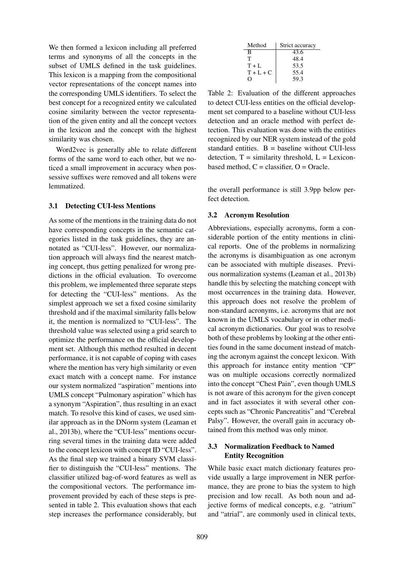We then formed a lexicon including all preferred terms and synonyms of all the concepts in the subset of UMLS defined in the task guidelines. This lexicon is a mapping from the compositional vector representations of the concept names into the corresponding UMLS identifiers. To select the best concept for a recognized entity we calculated cosine similarity between the vector representation of the given entity and all the concept vectors in the lexicon and the concept with the highest similarity was chosen.

Word2vec is generally able to relate different forms of the same word to each other, but we noticed a small improvement in accuracy when possessive suffixes were removed and all tokens were lemmatized.

#### 3.1 Detecting CUI-less Mentions

As some of the mentions in the training data do not have corresponding concepts in the semantic categories listed in the task guidelines, they are annotated as "CUI-less". However, our normalization approach will always find the nearest matching concept, thus getting penalized for wrong predictions in the official evaluation. To overcome this problem, we implemented three separate steps for detecting the "CUI-less" mentions. As the simplest approach we set a fixed cosine similarity threshold and if the maximal similarity falls below it, the mention is normalized to "CUI-less". The threshold value was selected using a grid search to optimize the performance on the official development set. Although this method resulted in decent performance, it is not capable of coping with cases where the mention has very high similarity or even exact match with a concept name. For instance our system normalized "aspiration" mentions into UMLS concept "Pulmonary aspiration" which has a synonym "Aspiration", thus resulting in an exact match. To resolve this kind of cases, we used similar approach as in the DNorm system (Leaman et al., 2013b), where the "CUI-less" mentions occurring several times in the training data were added to the concept lexicon with concept ID "CUI-less". As the final step we trained a binary SVM classifier to distinguish the "CUI-less" mentions. The classifier utilized bag-of-word features as well as the compositional vectors. The performance improvement provided by each of these steps is presented in table 2. This evaluation shows that each step increases the performance considerably, but

| Method  | Strict accuracy |
|---------|-----------------|
| В       | 43.6            |
| т       | 48.4            |
| $T + L$ | 53.5            |
| $T+L+C$ | 55.4            |
| . .     | 59.3            |

Table 2: Evaluation of the different approaches to detect CUI-less entities on the official development set compared to a baseline without CUI-less detection and an oracle method with perfect detection. This evaluation was done with the entities recognized by our NER system instead of the gold standard entities.  $B =$  baseline without CUI-less detection,  $T =$  similarity threshold,  $L =$  Lexiconbased method,  $C =$  classifier,  $O =$  Oracle.

the overall performance is still 3.9pp below perfect detection.

### 3.2 Acronym Resolution

Abbreviations, especially acronyms, form a considerable portion of the entity mentions in clinical reports. One of the problems in normalizing the acronyms is disambiguation as one acronym can be associated with multiple diseases. Previous normalization systems (Leaman et al., 2013b) handle this by selecting the matching concept with most occurrences in the training data. However, this approach does not resolve the problem of non-standard acronyms, i.e. acronyms that are not known in the UMLS vocabulary or in other medical acronym dictionaries. Our goal was to resolve both of these problems by looking at the other entities found in the same document instead of matching the acronym against the concept lexicon. With this approach for instance entity mention "CP" was on multiple occasions correctly normalized into the concept "Chest Pain", even though UMLS is not aware of this acronym for the given concept and in fact associates it with several other concepts such as "Chronic Pancreatitis" and "Cerebral Palsy". However, the overall gain in accuracy obtained from this method was only minor.

# 3.3 Normalization Feedback to Named Entity Recognition

While basic exact match dictionary features provide usually a large improvement in NER performance, they are prone to bias the system to high precision and low recall. As both noun and adjective forms of medical concepts, e.g. "atrium" and "atrial", are commonly used in clinical texts,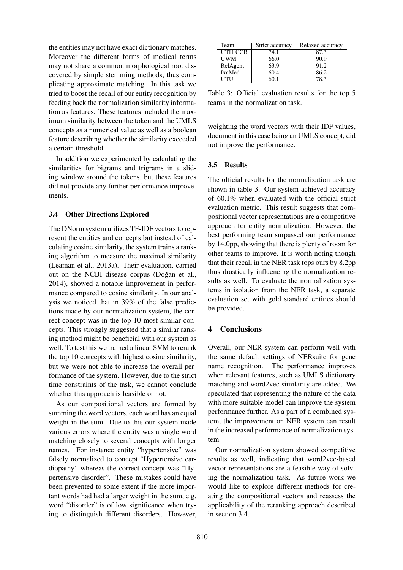the entities may not have exact dictionary matches. Moreover the different forms of medical terms may not share a common morphological root discovered by simple stemming methods, thus complicating approximate matching. In this task we tried to boost the recall of our entity recognition by feeding back the normalization similarity information as features. These features included the maximum similarity between the token and the UMLS concepts as a numerical value as well as a boolean feature describing whether the similarity exceeded a certain threshold.

In addition we experimented by calculating the similarities for bigrams and trigrams in a sliding window around the tokens, but these features did not provide any further performance improvements.

### 3.4 Other Directions Explored

The DNorm system utilizes TF-IDF vectors to represent the entities and concepts but instead of calculating cosine similarity, the system trains a ranking algorithm to measure the maximal similarity (Leaman et al., 2013a). Their evaluation, carried out on the NCBI disease corpus (Doğan et al., 2014), showed a notable improvement in performance compared to cosine similarity. In our analysis we noticed that in 39% of the false predictions made by our normalization system, the correct concept was in the top 10 most similar concepts. This strongly suggested that a similar ranking method might be beneficial with our system as well. To test this we trained a linear SVM to rerank the top 10 concepts with highest cosine similarity, but we were not able to increase the overall performance of the system. However, due to the strict time constraints of the task, we cannot conclude whether this approach is feasible or not.

As our compositional vectors are formed by summing the word vectors, each word has an equal weight in the sum. Due to this our system made various errors where the entity was a single word matching closely to several concepts with longer names. For instance entity "hypertensive" was falsely normalized to concept "Hypertensive cardiopathy" whereas the correct concept was "Hypertensive disorder". These mistakes could have been prevented to some extent if the more important words had had a larger weight in the sum, e.g. word "disorder" is of low significance when trying to distinguish different disorders. However,

| Team       | Strict accuracy | Relaxed accuracy |
|------------|-----------------|------------------|
| UTH_CCB    | 74.1            | 87.3             |
| <b>UWM</b> | 66.0            | 90.9             |
| RelAgent   | 63.9            | 91.2             |
| IxaMed     | 60.4            | 86.2             |
| UTU        | 60 1            | 78.3             |

Table 3: Official evaluation results for the top 5 teams in the normalization task.

weighting the word vectors with their IDF values, document in this case being an UMLS concept, did not improve the performance.

#### 3.5 Results

The official results for the normalization task are shown in table 3. Our system achieved accuracy of 60.1% when evaluated with the official strict evaluation metric. This result suggests that compositional vector representations are a competitive approach for entity normalization. However, the best performing team surpassed our performance by 14.0pp, showing that there is plenty of room for other teams to improve. It is worth noting though that their recall in the NER task tops ours by 8.2pp thus drastically influencing the normalization results as well. To evaluate the normalization systems in isolation from the NER task, a separate evaluation set with gold standard entities should be provided.

### 4 Conclusions

Overall, our NER system can perform well with the same default settings of NERsuite for gene name recognition. The performance improves when relevant features, such as UMLS dictionary matching and word2vec similarity are added. We speculated that representing the nature of the data with more suitable model can improve the system performance further. As a part of a combined system, the improvement on NER system can result in the increased performance of normalization system.

Our normalization system showed competitive results as well, indicating that word2vec-based vector representations are a feasible way of solving the normalization task. As future work we would like to explore different methods for creating the compositional vectors and reassess the applicability of the reranking approach described in section 3.4.